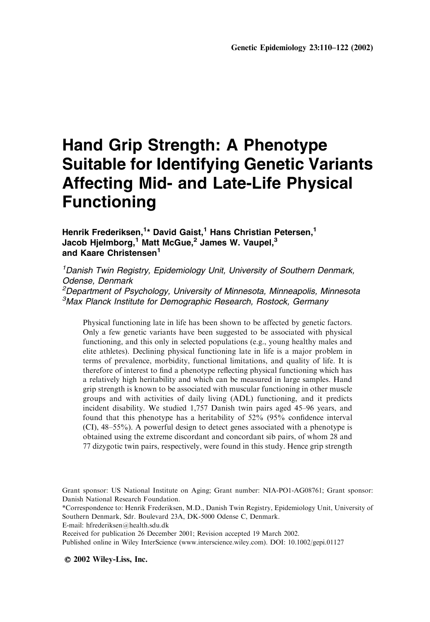# Hand Grip Strength: A Phenotype Suitable for Identifying Genetic Variants Affecting Mid- and Late-Life Physical Functioning

# Henrik Frederiksen, $^{\mathsf{1}\star}$  David Gaist, $^{\mathsf{1}}$  Hans Christian Petersen, $^{\mathsf{1}}$ Jacob Hjelmborg,<sup>1</sup> Matt McGue,<sup>2</sup> James W. Vaupel,<sup>3</sup> and Kaare Christensen<sup>1</sup>

<sup>1</sup> Danish Twin Registry, Epidemiology Unit, University of Southern Denmark, Odense, Denmark 2 Department of Psychology, University of Minnesota, Minneapolis, Minnesota 3 Max Planck Institute for Demographic Research, Rostock, Germany

Physical functioning late in life has been shown to be affected by genetic factors. Only a few genetic variants have been suggested to be associated with physical functioning, and this only in selected populations (e.g., young healthy males and elite athletes). Declining physical functioning late in life is a major problem in terms of prevalence, morbidity, functional limitations, and quality of life. It is therefore of interest to find a phenotype reflecting physical functioning which has a relatively high heritability and which can be measured in large samples. Hand grip strength is known to be associated with muscular functioning in other muscle groups and with activities of daily living (ADL) functioning, and it predicts incident disability. We studied 1,757 Danish twin pairs aged 45–96 years, and found that this phenotype has a heritability of 52% (95% confidence interval (CI), 48–55%). A powerful design to detect genes associated with a phenotype is obtained using the extreme discordant and concordant sib pairs, of whom 28 and 77 dizygotic twin pairs, respectively, were found in this study. Hence grip strength

\*Correspondence to: Henrik Frederiksen, M.D., Danish Twin Registry, Epidemiology Unit, University of Southern Denmark, Sdr. Boulevard 23A, DK-5000 Odense C, Denmark.

Received for publication 26 December 2001; Revision accepted 19 March 2002.

Published online in Wiley InterScience (www.interscience.wiley.com). DOI: 10.1002/gepi.01127

 $\odot$  2002 Wiley-Liss, Inc.

Grant sponsor: US National Institute on Aging; Grant number: NIA-PO1-AG08761; Grant sponsor: Danish National Research Foundation.

E-mail: hfrederiksen@health.sdu.dk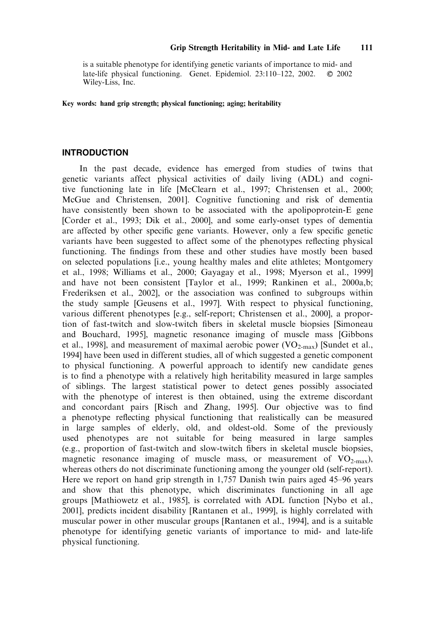is a suitable phenotype for identifying genetic variants of importance to mid- and late-life physical functioning. Genet. Epidemiol.  $23:110-122$ ,  $2002$ .  $\circ$  2002 Wiley-Liss, Inc.

Key words: hand grip strength; physical functioning; aging; heritability

#### INTRODUCTION

In the past decade, evidence has emerged from studies of twins that genetic variants affect physical activities of daily living (ADL) and cognitive functioning late in life [McClearn et al., 1997; Christensen et al., 2000; McGue and Christensen, 2001]. Cognitive functioning and risk of dementia have consistently been shown to be associated with the apolipoprotein-E gene [Corder et al., 1993; Dik et al., 2000], and some early-onset types of dementia are affected by other specific gene variants. However, only a few specific genetic variants have been suggested to affect some of the phenotypes reflecting physical functioning. The findings from these and other studies have mostly been based on selected populations [i.e., young healthy males and elite athletes; Montgomery et al., 1998; Williams et al., 2000; Gayagay et al., 1998; Myerson et al., 1999] and have not been consistent [Taylor et al., 1999; Rankinen et al., 2000a,b; Frederiksen et al., 2002], or the association was confined to subgroups within the study sample [Geusens et al., 1997]. With respect to physical functioning, various different phenotypes [e.g., self-report; Christensen et al., 2000], a proportion of fast-twitch and slow-twitch fibers in skeletal muscle biopsies [Simoneau and Bouchard, 1995], magnetic resonance imaging of muscle mass [Gibbons et al., 1998], and measurement of maximal aerobic power  $(VO_{2\text{-max}})$  [Sundet et al., 1994] have been used in different studies, all of which suggested a genetic component to physical functioning. A powerful approach to identify new candidate genes is to find a phenotype with a relatively high heritability measured in large samples of siblings. The largest statistical power to detect genes possibly associated with the phenotype of interest is then obtained, using the extreme discordant and concordant pairs [Risch and Zhang, 1995]. Our objective was to find a phenotype reflecting physical functioning that realistically can be measured in large samples of elderly, old, and oldest-old. Some of the previously used phenotypes are not suitable for being measured in large samples (e.g., proportion of fast-twitch and slow-twitch fibers in skeletal muscle biopsies, magnetic resonance imaging of muscle mass, or measurement of  $VO_{2-max}$ ), whereas others do not discriminate functioning among the younger old (self-report). Here we report on hand grip strength in 1,757 Danish twin pairs aged 45–96 years and show that this phenotype, which discriminates functioning in all age groups [Mathiowetz et al., 1985], is correlated with ADL function [Nybo et al., 2001], predicts incident disability [Rantanen et al., 1999], is highly correlated with muscular power in other muscular groups [Rantanen et al., 1994], and is a suitable phenotype for identifying genetic variants of importance to mid- and late-life physical functioning.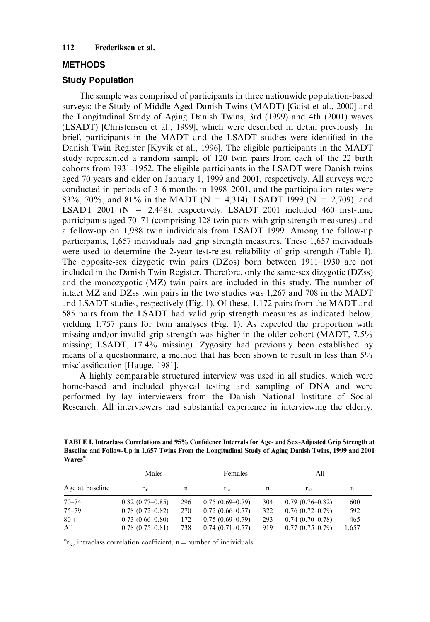## METHODS

## Study Population

The sample was comprised of participants in three nationwide population-based surveys: the Study of Middle-Aged Danish Twins (MADT) [Gaist et al., 2000] and the Longitudinal Study of Aging Danish Twins, 3rd (1999) and 4th (2001) waves (LSADT) [Christensen et al., 1999], which were described in detail previously. In brief, participants in the MADT and the LSADT studies were identified in the Danish Twin Register [Kyvik et al., 1996]. The eligible participants in the MADT study represented a random sample of 120 twin pairs from each of the 22 birth cohorts from 1931–1952. The eligible participants in the LSADT were Danish twins aged 70 years and older on January 1, 1999 and 2001, respectively. All surveys were conducted in periods of 3–6 months in 1998–2001, and the participation rates were 83%, 70%, and 81% in the MADT (N = 4,314), LSADT 1999 (N = 2,709), and LSADT 2001 ( $N = 2,448$ ), respectively. LSADT 2001 included 460 first-time participants aged 70–71 (comprising 128 twin pairs with grip strength measures) and a follow-up on 1,988 twin individuals from LSADT 1999. Among the follow-up participants, 1,657 individuals had grip strength measures. These 1,657 individuals were used to determine the 2-year test-retest reliability of grip strength (Table I). The opposite-sex dizygotic twin pairs (DZos) born between 1911–1930 are not included in the Danish Twin Register. Therefore, only the same-sex dizygotic (DZss) and the monozygotic (MZ) twin pairs are included in this study. The number of intact MZ and DZss twin pairs in the two studies was 1,267 and 708 in the MADT and LSADT studies, respectively (Fig. 1). Of these, 1,172 pairs from the MADT and 585 pairs from the LSADT had valid grip strength measures as indicated below, yielding 1,757 pairs for twin analyses (Fig. 1). As expected the proportion with missing and/or invalid grip strength was higher in the older cohort (MADT, 7.5% missing; LSADT, 17.4% missing). Zygosity had previously been established by means of a questionnaire, a method that has been shown to result in less than 5% misclassification [Hauge, 1981].

A highly comparable structured interview was used in all studies, which were home-based and included physical testing and sampling of DNA and were performed by lay interviewers from the Danish National Institute of Social Research. All interviewers had substantial experience in interviewing the elderly,

TABLE I. Intraclass Correlations and 95% Confidence Intervals for Age- and Sex-Adjusted Grip Strength at Baseline and Follow-Up in 1,657 Twins From the Longitudinal Study of Aging Danish Twins, 1999 and 2001 Waves\*

|                 | Males                                    |            | Females                                |            | All                                    |              |
|-----------------|------------------------------------------|------------|----------------------------------------|------------|----------------------------------------|--------------|
| Age at baseline | $r_{\rm ic}$                             | n          | $r_{ic}$                               | n          | $r_{ic}$                               | n            |
| $70 - 74$       | $0.82(0.77-0.85)$                        | 296        | $0.75(0.69-0.79)$                      | 304        | $0.79(0.76-0.82)$                      | 600          |
| $75 - 79$       | $0.78(0.72 - 0.82)$                      | 270        | $0.72(0.66 - 0.77)$                    | 322        | $0.76(0.72-0.79)$                      | 592          |
| $80 +$<br>All   | $0.73(0.66 - 0.80)$<br>$0.78(0.75-0.81)$ | 172<br>738 | $0.75(0.69-0.79)$<br>$0.74(0.71-0.77)$ | 293<br>919 | $0.74(0.70-0.78)$<br>$0.77(0.75-0.79)$ | 465<br>1,657 |

 $r_{\text{ic}}$ , intraclass correlation coefficient, n = number of individuals.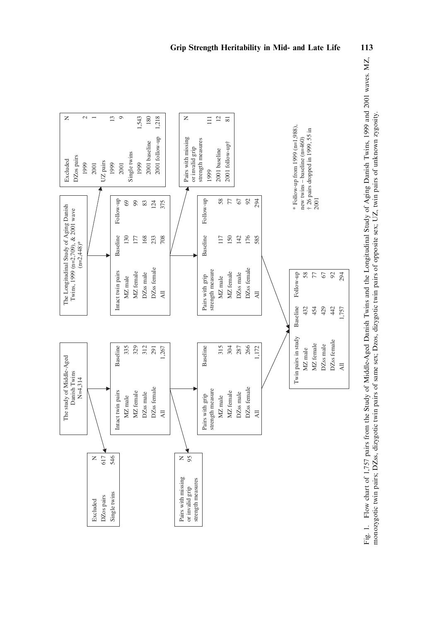

Fig. 1. Flow chart of 1,757 pairs from the Study of Middle-Aged Danish Twins and the Longitudinal Study of Aging Danish Twins, 1999 and 2001 waves. MZ, Fig. 1. Flow chart of 1,757 pairs from the Study of Middle-Aged Danish Twins and the Longitudinal Study of Aging Danish Twins, 1999 and 2001 waves. MZ, monozygotic twin pairs, DZss, dizygotic twin pairs of same sex, Dzos, dizygotic twin pairs of opposite sex; UZ, twin pairs of unknown zygosity. monozygotic twin pairs; DZss, dizygotic twin pairs of same sex; Dzos, dizygotic twin pairs of opposite sex; UZ, twin pairs of unknown zygosity.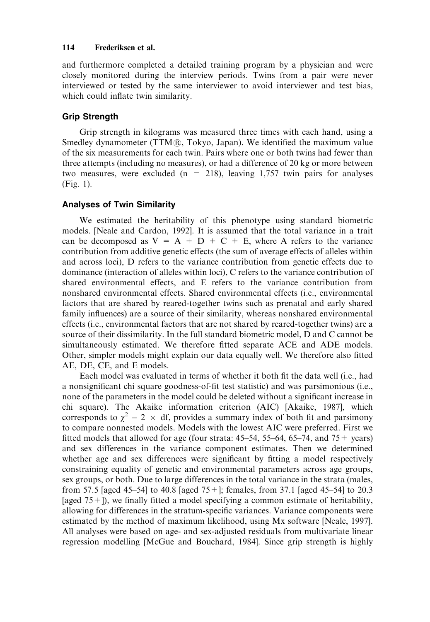and furthermore completed a detailed training program by a physician and were closely monitored during the interview periods. Twins from a pair were never interviewed or tested by the same interviewer to avoid interviewer and test bias, which could inflate twin similarity.

## Grip Strength

Grip strength in kilograms was measured three times with each hand, using a Smedley dynamometer ( $TTM\$ <sub> $R$ </sub>, Tokyo, Japan). We identified the maximum value of the six measurements for each twin. Pairs where one or both twins had fewer than three attempts (including no measures), or had a difference of 20 kg or more between two measures, were excluded  $(n = 218)$ , leaving 1,757 twin pairs for analyses (Fig. 1).

## Analyses of Twin Similarity

We estimated the heritability of this phenotype using standard biometric models. [Neale and Cardon, 1992]. It is assumed that the total variance in a trait can be decomposed as  $V = A + D + C + E$ , where A refers to the variance contribution from additive genetic effects (the sum of average effects of alleles within and across loci), D refers to the variance contribution from genetic effects due to dominance (interaction of alleles within loci), C refers to the variance contribution of shared environmental effects, and E refers to the variance contribution from nonshared environmental effects. Shared environmental effects (i.e., environmental factors that are shared by reared-together twins such as prenatal and early shared family influences) are a source of their similarity, whereas nonshared environmental effects (i.e., environmental factors that are not shared by reared-together twins) are a source of their dissimilarity. In the full standard biometric model, D and C cannot be simultaneously estimated. We therefore fitted separate ACE and ADE models. Other, simpler models might explain our data equally well. We therefore also fitted AE, DE, CE, and E models.

Each model was evaluated in terms of whether it both fit the data well (i.e., had a nonsignificant chi square goodness-of-fit test statistic) and was parsimonious (i.e., none of the parameters in the model could be deleted without a significant increase in chi square). The Akaike information criterion (AIC) [Akaike, 1987], which corresponds to  $\chi^2 - 2 \times$  df, provides a summary index of both fit and parsimony to compare nonnested models. Models with the lowest AIC were preferred. First we fitted models that allowed for age (four strata:  $45-54$ ,  $55-64$ ,  $65-74$ , and  $75+$  years) and sex differences in the variance component estimates. Then we determined whether age and sex differences were significant by fitting a model respectively constraining equality of genetic and environmental parameters across age groups, sex groups, or both. Due to large differences in the total variance in the strata (males, from 57.5 [aged 45–54] to 40.8 [aged 75+]; females, from 37.1 [aged 45–54] to 20.3 [aged  $75+$ ]), we finally fitted a model specifying a common estimate of heritability, allowing for differences in the stratum-specific variances. Variance components were estimated by the method of maximum likelihood, using Mx software [Neale, 1997]. All analyses were based on age- and sex-adjusted residuals from multivariate linear regression modelling [McGue and Bouchard, 1984]. Since grip strength is highly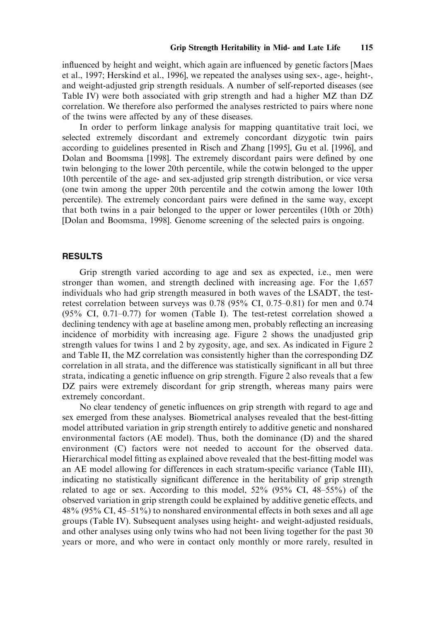influenced by height and weight, which again are influenced by genetic factors [Maes et al., 1997; Herskind et al., 1996], we repeated the analyses using sex-, age-, height-, and weight-adjusted grip strength residuals. A number of self-reported diseases (see Table IV) were both associated with grip strength and had a higher MZ than DZ correlation. We therefore also performed the analyses restricted to pairs where none of the twins were affected by any of these diseases.

In order to perform linkage analysis for mapping quantitative trait loci, we selected extremely discordant and extremely concordant dizygotic twin pairs according to guidelines presented in Risch and Zhang [1995], Gu et al. [1996], and Dolan and Boomsma [1998]. The extremely discordant pairs were defined by one twin belonging to the lower 20th percentile, while the cotwin belonged to the upper 10th percentile of the age- and sex-adjusted grip strength distribution, or vice versa (one twin among the upper 20th percentile and the cotwin among the lower 10th percentile). The extremely concordant pairs were defined in the same way, except that both twins in a pair belonged to the upper or lower percentiles (10th or 20th) [Dolan and Boomsma, 1998]. Genome screening of the selected pairs is ongoing.

## RESULTS

Grip strength varied according to age and sex as expected, i.e., men were stronger than women, and strength declined with increasing age. For the 1,657 individuals who had grip strength measured in both waves of the LSADT, the testretest correlation between surveys was 0.78 (95% CI, 0.75–0.81) for men and 0.74 (95% CI, 0.71–0.77) for women (Table I). The test-retest correlation showed a declining tendency with age at baseline among men, probably reflecting an increasing incidence of morbidity with increasing age. Figure 2 shows the unadjusted grip strength values for twins 1 and 2 by zygosity, age, and sex. As indicated in Figure 2 and Table II, the MZ correlation was consistently higher than the corresponding DZ correlation in all strata, and the difference was statistically significant in all but three strata, indicating a genetic influence on grip strength. Figure 2 also reveals that a few DZ pairs were extremely discordant for grip strength, whereas many pairs were extremely concordant.

No clear tendency of genetic influences on grip strength with regard to age and sex emerged from these analyses. Biometrical analyses revealed that the best-fitting model attributed variation in grip strength entirely to additive genetic and nonshared environmental factors (AE model). Thus, both the dominance (D) and the shared environment (C) factors were not needed to account for the observed data. Hierarchical model fitting as explained above revealed that the best-fitting model was an AE model allowing for differences in each stratum-specific variance (Table III), indicating no statistically significant difference in the heritability of grip strength related to age or sex. According to this model,  $52\%$  (95% CI, 48–55%) of the observed variation in grip strength could be explained by additive genetic effects, and 48% (95% CI, 45–51%) to nonshared environmental effects in both sexes and all age groups (Table IV). Subsequent analyses using height- and weight-adjusted residuals, and other analyses using only twins who had not been living together for the past 30 years or more, and who were in contact only monthly or more rarely, resulted in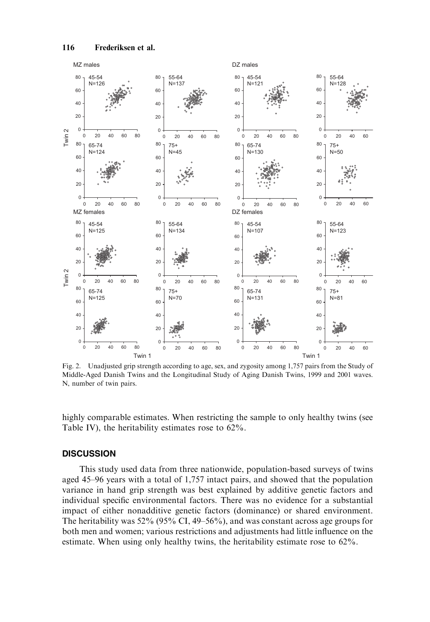

Fig. 2. Unadjusted grip strength according to age, sex, and zygosity among 1,757 pairs from the Study of Middle-Aged Danish Twins and the Longitudinal Study of Aging Danish Twins, 1999 and 2001 waves. N, number of twin pairs.

highly comparable estimates. When restricting the sample to only healthy twins (see Table IV), the heritability estimates rose to 62%.

## **DISCUSSION**

This study used data from three nationwide, population-based surveys of twins aged 45–96 years with a total of 1,757 intact pairs, and showed that the population variance in hand grip strength was best explained by additive genetic factors and individual specific environmental factors. There was no evidence for a substantial impact of either nonadditive genetic factors (dominance) or shared environment. The heritability was 52% (95% CI, 49–56%), and was constant across age groups for both men and women; various restrictions and adjustments had little influence on the estimate. When using only healthy twins, the heritability estimate rose to 62%.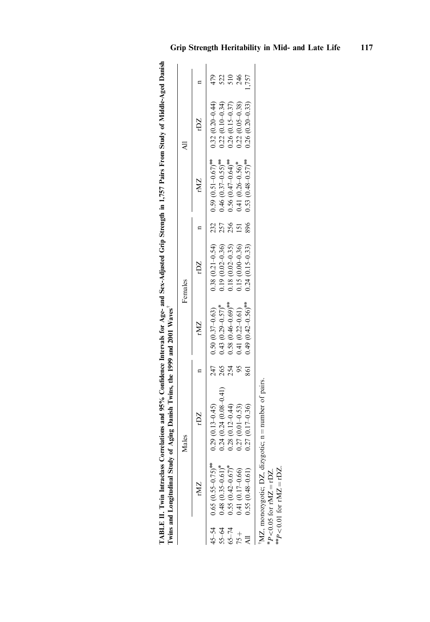|           |                                          | Twins and Longitudinal Study of Aging Danish Twins, the 1999 and 2001 Waves |     |                                    |                         |     |                                                   |                     |       |
|-----------|------------------------------------------|-----------------------------------------------------------------------------|-----|------------------------------------|-------------------------|-----|---------------------------------------------------|---------------------|-------|
|           |                                          | dales                                                                       |     |                                    | Females                 |     |                                                   |                     |       |
|           | rMZ                                      | rDZ.                                                                        |     | rMZ                                | rDZ                     |     | rMZ                                               | <b>ZG</b>           |       |
|           | $45-54$ 0.65 $(0.55-0.75)$ <sup>**</sup> | $0.29(0.13 - 0.45)$                                                         |     | $247$ 0.50 (0.37-0.63)             |                         |     | $0.38(0.21-0.54)$ $0.59(0.51-0.67)$ <sup>**</sup> | $0.32(0.20 - 0.44)$ |       |
| $55 - 64$ | $0.48(0.35-0.61)^{*}$                    | $(0.24)(0.08-0.41)$                                                         | 265 | $0.43$ $(0.29 - 0.57)^*$           | $0.19(0.02 - 0.36)$ 257 |     | $0.46$ $(0.37 - 0.55)$ <sup>144</sup>             | $0.22(0.10-0.34)$   | 522   |
| $65 - 74$ | $0.55(0.42 - 0.67)$ *                    | $0.28(0.12 - 0.44)$                                                         | 254 | $0.58(0.46-0.69)$ <sup>***</sup>   | $0.18(0.02 - 0.35)$     | 256 | $0.56(0.47-0.64)$ <sup>***</sup>                  | $0.26(0.15-0.37)$   | 510   |
| $75 +$    | $0.41(0.17-0.66)$                        | $0.27(0.01 - 0.53)$                                                         | 95  | $0.41(0.22 - 0.61)$                | $0.15(0.00-0.36)$ 151   |     | $0.41(0.26-0.56)^*$                               | $0.22(0.05 - 0.38)$ | 246   |
|           | $0.55(0.48 - 0.61)$                      | $0.27(0.17-0.36)$                                                           | 861 | $0.49(0.42 - 0.56)$ <sup>***</sup> | $0.24(0.15-0.33)$       | 896 | $0.53(0.48-0.57)$ <sup>***</sup>                  | $0.26(0.20-0.33)$   | 1,757 |

TABLE II. Twin Intraclass Correlations and 95% Confidence Intervals for Age- and Sex-Adjusted Grip Strength in 1,757 Pairs From Study of Middle-Aged Danish

TABLE II. Twin Intraclass Correlations and 95% Confidence Intervals for Age- and Sex-Adjusted Grip Strength in 1,757 Pairs From Study of Middle-Aged Danish

|  |  |                                                                                                                                                                                                                                                                             | $0.27(0.17-0.36)$   | N 55 /N 40 N |          |
|--|--|-----------------------------------------------------------------------------------------------------------------------------------------------------------------------------------------------------------------------------------------------------------------------------|---------------------|--------------|----------|
|  |  | 254 0.58 (0.46-0.69) <sup>***</sup> 0.18 (0.02-0.35) 256 0.56 (0.47-0.64) <sup>***</sup> 0.26 (0.15-0.37) 510<br>95 0.41 (0.22-0.61) 0.15 (0.00-0.36) 151 0.41 (0.26-0.56) <sup>*</sup> 0.22 (0.05-0.38) 246<br>861 0.49 (0.42-0.56) <sup>**</sup> 0.24 (0.15-0.33) 896 0.5 | $0.27(0.01 - 0.53)$ | くく くじゃく こう   |          |
|  |  |                                                                                                                                                                                                                                                                             | $0.28(0.12 - 0.44)$ | 3            | $5 - 74$ |

<sup>†</sup>MZ, monozygotic; DZ, dizygotic; n MZ, monozygotic; DZ, dizygotic;  $n = number$  of pairs. = number of pairs.

n P $<$  0.05 for rMZ  $=$ rDZ.

 $\bm{h}^*$  $<$  0.01 for rMZ  $=$ r $DZ$ .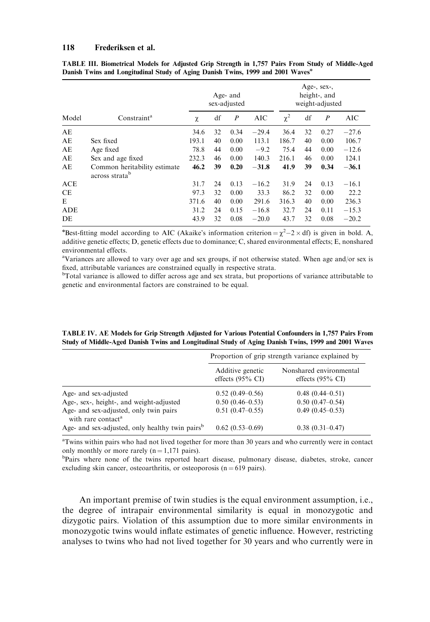|            |                                                            |       |    | Age- and<br>sex-adjusted |         |          |    | Age-, sex-,<br>height-, and<br>weight-adjusted |         |
|------------|------------------------------------------------------------|-------|----|--------------------------|---------|----------|----|------------------------------------------------|---------|
| Model      | Constraint <sup>a</sup>                                    | χ     | df | $\boldsymbol{P}$         | AIC     | $\chi^2$ | df | $\boldsymbol{P}$                               | AIC     |
| AE         |                                                            | 34.6  | 32 | 0.34                     | $-29.4$ | 36.4     | 32 | 0.27                                           | $-27.6$ |
| AE         | Sex fixed                                                  | 193.1 | 40 | 0.00                     | 113.1   | 186.7    | 40 | 0.00                                           | 106.7   |
| AE         | Age fixed                                                  | 78.8  | 44 | 0.00                     | $-9.2$  | 75.4     | 44 | 0.00                                           | $-12.6$ |
| AE         | Sex and age fixed                                          | 232.3 | 46 | 0.00                     | 140.3   | 216.1    | 46 | 0.00                                           | 124.1   |
| AE         | Common heritability estimate<br>across strata <sup>b</sup> | 46.2  | 39 | 0.20                     | $-31.8$ | 41.9     | 39 | 0.34                                           | $-36.1$ |
| <b>ACE</b> |                                                            | 31.7  | 24 | 0.13                     | $-16.2$ | 31.9     | 24 | 0.13                                           | $-16.1$ |
| <b>CE</b>  |                                                            | 97.3  | 32 | 0.00                     | 33.3    | 86.2     | 32 | 0.00                                           | 22.2    |
| E          |                                                            | 371.6 | 40 | 0.00                     | 291.6   | 316.3    | 40 | 0.00                                           | 236.3   |
| ADE        |                                                            | 31.2  | 24 | 0.15                     | $-16.8$ | 32.7     | 24 | 0.11                                           | $-15.3$ |
| DE         |                                                            | 43.9  | 32 | 0.08                     | $-20.0$ | 43.7     | 32 | 0.08                                           | $-20.2$ |

|                                                                                             |  |  |  |  |  | TABLE III. Biometrical Models for Adjusted Grip Strength in 1,757 Pairs From Study of Middle-Aged |
|---------------------------------------------------------------------------------------------|--|--|--|--|--|---------------------------------------------------------------------------------------------------|
| Danish Twins and Longitudinal Study of Aging Danish Twins, 1999 and 2001 Waves <sup>*</sup> |  |  |  |  |  |                                                                                                   |

\*Best-fitting model according to AIC (Akaike's information criterion =  $\chi^2$  – 2 × df) is given in bold. A, additive genetic effects; D, genetic effects due to dominance; C, shared environmental effects; E, nonshared environmental effects.

<sup>a</sup>Variances are allowed to vary over age and sex groups, if not otherwise stated. When age and/or sex is fixed, attributable variances are constrained equally in respective strata.

<sup>b</sup>Total variance is allowed to differ across age and sex strata, but proportions of variance attributable to genetic and environmental factors are constrained to be equal.

| TABLE IV. AE Models for Grip Strength Adjusted for Various Potential Confounders in 1,757 Pairs From |  |  |
|------------------------------------------------------------------------------------------------------|--|--|
| Study of Middle-Aged Danish Twins and Longitudinal Study of Aging Danish Twins, 1999 and 2001 Waves  |  |  |

|                                                                          |                                                 | Proportion of grip strength variance explained by      |
|--------------------------------------------------------------------------|-------------------------------------------------|--------------------------------------------------------|
|                                                                          | Additive genetic<br>effects $(95\% \text{ CI})$ | Nonshared environmental<br>effects $(95\% \text{ CI})$ |
| Age- and sex-adjusted                                                    | $0.52(0.49-0.56)$                               | $0.48(0.44 - 0.51)$                                    |
| Age-, sex-, height-, and weight-adjusted                                 | $0.50(0.46 - 0.53)$                             | $0.50(0.47-0.54)$                                      |
| Age- and sex-adjusted, only twin pairs<br>with rare contact <sup>a</sup> | $0.51(0.47-0.55)$                               | $0.49(0.45-0.53)$                                      |
| Age- and sex-adjusted, only healthy twin pairs <sup>b</sup>              | $0.62(0.53-0.69)$                               | $0.38(0.31 - 0.47)$                                    |

<sup>a</sup>Twins within pairs who had not lived together for more than 30 years and who currently were in contact only monthly or more rarely  $(n = 1,171 \text{ pairs})$ .

<sup>b</sup>Pairs where none of the twins reported heart disease, pulmonary disease, diabetes, stroke, cancer excluding skin cancer, osteoarthritis, or osteoporosis ( $n = 619$  pairs).

An important premise of twin studies is the equal environment assumption, i.e., the degree of intrapair environmental similarity is equal in monozygotic and dizygotic pairs. Violation of this assumption due to more similar environments in monozygotic twins would inflate estimates of genetic influence. However, restricting analyses to twins who had not lived together for 30 years and who currently were in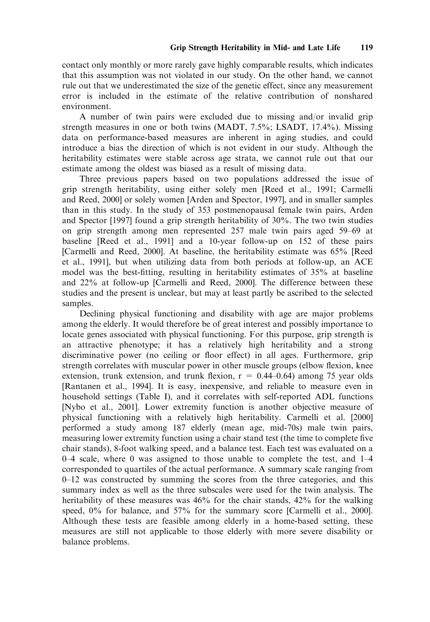contact only monthly or more rarely gave highly comparable results, which indicates that this assumption was not violated in our study. On the other hand, we cannot rule out that we underestimated the size of the genetic effect, since any measurement error is included in the estimate of the relative contribution of nonshared environment.

A number of twin pairs were excluded due to missing and/or invalid grip strength measures in one or both twins (MADT, 7.5%; LSADT, 17.4%). Missing data on performance-based measures are inherent in aging studies, and could introduce a bias the direction of which is not evident in our study. Although the heritability estimates were stable across age strata, we cannot rule out that our estimate among the oldest was biased as a result of missing data.

Three previous papers based on two populations addressed the issue of grip strength heritability, using either solely men [Reed et al., 1991; Carmelli and Reed, 2000] or solely women [Arden and Spector, 1997], and in smaller samples than in this study. In the study of 353 postmenopausal female twin pairs, Arden and Spector [1997] found a grip strength heritability of 30%. The two twin studies on grip strength among men represented 257 male twin pairs aged 59–69 at baseline [Reed et al., 1991] and a 10-year follow-up on 152 of these pairs [Carmelli and Reed, 2000]. At baseline, the heritability estimate was 65% [Reed et al., 1991], but when utilizing data from both periods at follow-up, an ACE model was the best-fitting, resulting in heritability estimates of 35% at baseline and 22% at follow-up [Carmelli and Reed, 2000]. The difference between these studies and the present is unclear, but may at least partly be ascribed to the selected samples.

Declining physical functioning and disability with age are major problems among the elderly. It would therefore be of great interest and possibly importance to locate genes associated with physical functioning. For this purpose, grip strength is an attractive phenotype; it has a relatively high heritability and a strong discriminative power (no ceiling or floor effect) in all ages. Furthermore, grip strength correlates with muscular power in other muscle groups (elbow flexion, knee extension, trunk extension, and trunk flexion,  $r = 0.44{\text -}0.64$  among 75 year olds [Rantanen et al., 1994]. It is easy, inexpensive, and reliable to measure even in household settings (Table I), and it correlates with self-reported ADL functions [Nybo et al., 2001]. Lower extremity function is another objective measure of physical functioning with a relatively high heritability. Carmelli et al. [2000] performed a study among 187 elderly (mean age, mid-70s) male twin pairs, measuring lower extremity function using a chair stand test (the time to complete five chair stands), 8-foot walking speed, and a balance test. Each test was evaluated on a 0–4 scale, where 0 was assigned to those unable to complete the test, and 1–4 corresponded to quartiles of the actual performance. A summary scale ranging from 0–12 was constructed by summing the scores from the three categories, and this summary index as well as the three subscales were used for the twin analysis. The heritability of these measures was 46% for the chair stands, 42% for the walking speed, 0% for balance, and 57% for the summary score [Carmelli et al., 2000]. Although these tests are feasible among elderly in a home-based setting, these measures are still not applicable to those elderly with more severe disability or balance problems.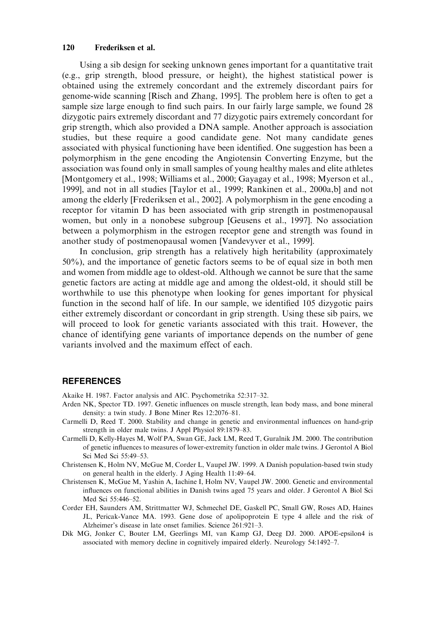Using a sib design for seeking unknown genes important for a quantitative trait (e.g., grip strength, blood pressure, or height), the highest statistical power is obtained using the extremely concordant and the extremely discordant pairs for genome-wide scanning [Risch and Zhang, 1995]. The problem here is often to get a sample size large enough to find such pairs. In our fairly large sample, we found 28 dizygotic pairs extremely discordant and 77 dizygotic pairs extremely concordant for grip strength, which also provided a DNA sample. Another approach is association studies, but these require a good candidate gene. Not many candidate genes associated with physical functioning have been identified. One suggestion has been a polymorphism in the gene encoding the Angiotensin Converting Enzyme, but the association was found only in small samples of young healthy males and elite athletes [Montgomery et al., 1998; Williams et al., 2000; Gayagay et al., 1998; Myerson et al., 1999], and not in all studies [Taylor et al., 1999; Rankinen et al., 2000a,b] and not among the elderly [Frederiksen et al., 2002]. A polymorphism in the gene encoding a receptor for vitamin D has been associated with grip strength in postmenopausal women, but only in a nonobese subgroup [Geusens et al., 1997]. No association between a polymorphism in the estrogen receptor gene and strength was found in another study of postmenopausal women [Vandevyver et al., 1999].

In conclusion, grip strength has a relatively high heritability (approximately 50%), and the importance of genetic factors seems to be of equal size in both men and women from middle age to oldest-old. Although we cannot be sure that the same genetic factors are acting at middle age and among the oldest-old, it should still be worthwhile to use this phenotype when looking for genes important for physical function in the second half of life. In our sample, we identified 105 dizygotic pairs either extremely discordant or concordant in grip strength. Using these sib pairs, we will proceed to look for genetic variants associated with this trait. However, the chance of identifying gene variants of importance depends on the number of gene variants involved and the maximum effect of each.

## **REFERENCES**

Akaike H. 1987. Factor analysis and AIC. Psychometrika 52:317–32.

- Arden NK, Spector TD. 1997. Genetic influences on muscle strength, lean body mass, and bone mineral density: a twin study. J Bone Miner Res 12:2076–81.
- Carmelli D, Reed T. 2000. Stability and change in genetic and environmental influences on hand-grip strength in older male twins. J Appl Physiol 89:1879–83.
- Carmelli D, Kelly-Hayes M, Wolf PA, Swan GE, Jack LM, Reed T, Guralnik JM. 2000. The contribution of genetic influences to measures of lower-extremity function in older male twins. J Gerontol A Biol Sci Med Sci 55:49–53.
- Christensen K, Holm NV, McGue M, Corder L, Vaupel JW. 1999. A Danish population-based twin study on general health in the elderly. J Aging Health 11:49–64.
- Christensen K, McGue M, Yashin A, Iachine I, Holm NV, Vaupel JW. 2000. Genetic and environmental influences on functional abilities in Danish twins aged 75 years and older. J Gerontol A Biol Sci Med Sci 55:446–52.
- Corder EH, Saunders AM, Strittmatter WJ, Schmechel DE, Gaskell PC, Small GW, Roses AD, Haines JL, Pericak-Vance MA. 1993. Gene dose of apolipoprotein E type 4 allele and the risk of Alzheimer's disease in late onset families. Science 261:921–3.
- Dik MG, Jonker C, Bouter LM, Geerlings MI, van Kamp GJ, Deeg DJ. 2000. APOE-epsilon4 is associated with memory decline in cognitively impaired elderly. Neurology 54:1492–7.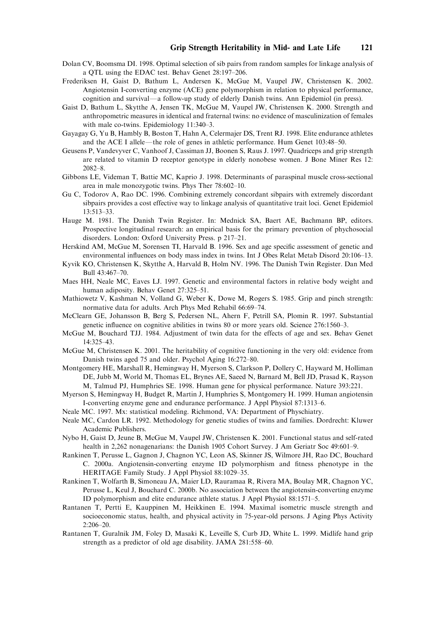- Dolan CV, Boomsma DI. 1998. Optimal selection of sib pairs from random samples for linkage analysis of a QTL using the EDAC test. Behav Genet 28:197–206.
- Frederiksen H, Gaist D, Bathum L, Andersen K, McGue M, Vaupel JW, Christensen K. 2002. Angiotensin I-converting enzyme (ACE) gene polymorphism in relation to physical performance, cognition and survival—a follow-up study of elderly Danish twins. Ann Epidemiol (in press).
- Gaist D, Bathum L, Skytthe A, Jensen TK, McGue M, Vaupel JW, Christensen K. 2000. Strength and anthropometric measures in identical and fraternal twins: no evidence of masculinization of females with male co-twins. Epidemiology 11:340–3.
- Gayagay G, Yu B, Hambly B, Boston T, Hahn A, Celermajer DS, Trent RJ. 1998. Elite endurance athletes and the ACE I allele—the role of genes in athletic performance. Hum Genet  $103:48-50$ .
- Geusens P, Vandevyver C, Vanhoof J, Cassiman JJ, Boonen S, Raus J. 1997. Quadriceps and grip strength are related to vitamin D receptor genotype in elderly nonobese women. J Bone Miner Res 12: 2082–8.
- Gibbons LE, Videman T, Battie MC, Kaprio J. 1998. Determinants of paraspinal muscle cross-sectional area in male monozygotic twins. Phys Ther 78:602–10.
- Gu C, Todorov A, Rao DC. 1996. Combining extremely concordant sibpairs with extremely discordant sibpairs provides a cost effective way to linkage analysis of quantitative trait loci. Genet Epidemiol 13:513–33.
- Hauge M. 1981. The Danish Twin Register. In: Mednick SA, Baert AE, Bachmann BP, editors. Prospective longitudinal research: an empirical basis for the primary prevention of phychosocial disorders. London: Oxford University Press. p 217–21.
- Herskind AM, McGue M, Sorensen TI, Harvald B. 1996. Sex and age specific assessment of genetic and environmental influences on body mass index in twins. Int J Obes Relat Metab Disord 20:106–13.
- Kyvik KO, Christensen K, Skytthe A, Harvald B, Holm NV. 1996. The Danish Twin Register. Dan Med Bull 43:467–70.
- Maes HH, Neale MC, Eaves LJ. 1997. Genetic and environmental factors in relative body weight and human adiposity. Behav Genet 27:325–51.
- Mathiowetz V, Kashman N, Volland G, Weber K, Dowe M, Rogers S. 1985. Grip and pinch strength: normative data for adults. Arch Phys Med Rehabil 66:69–74.
- McClearn GE, Johansson B, Berg S, Pedersen NL, Ahern F, Petrill SA, Plomin R. 1997. Substantial genetic influence on cognitive abilities in twins 80 or more years old. Science 276:1560–3.
- McGue M, Bouchard TJJ. 1984. Adjustment of twin data for the effects of age and sex. Behav Genet 14:325–43.
- McGue M, Christensen K. 2001. The heritability of cognitive functioning in the very old: evidence from Danish twins aged 75 and older. Psychol Aging 16:272–80.
- Montgomery HE, Marshall R, Hemingway H, Myerson S, Clarkson P, Dollery C, Hayward M, Holliman DE, Jubb M, World M, Thomas EL, Brynes AE, Saeed N, Barnard M, Bell JD, Prasad K, Rayson M, Talmud PJ, Humphries SE. 1998. Human gene for physical performance. Nature 393:221.
- Myerson S, Hemingway H, Budget R, Martin J, Humphries S, Montgomery H. 1999. Human angiotensin I-converting enzyme gene and endurance performance. J Appl Physiol 87:1313–6.
- Neale MC. 1997. Mx: statistical modeling. Richmond, VA: Department of Physchiatry.
- Neale MC, Cardon LR. 1992. Methodology for genetic studies of twins and families. Dordrecht: Kluwer Academic Publishers.
- Nybo H, Gaist D, Jeune B, McGue M, Vaupel JW, Christensen K. 2001. Functional status and self-rated health in 2,262 nonagenarians: the Danish 1905 Cohort Survey. J Am Geriatr Soc 49:601–9.
- Rankinen T, Perusse L, Gagnon J, Chagnon YC, Leon AS, Skinner JS, Wilmore JH, Rao DC, Bouchard C. 2000a. Angiotensin-converting enzyme ID polymorphism and fitness phenotype in the HERITAGE Family Study. J Appl Physiol 88:1029–35.
- Rankinen T, Wolfarth B, Simoneau JA, Maier LD, Rauramaa R, Rivera MA, Boulay MR, Chagnon YC, Perusse L, Keul J, Bouchard C. 2000b. No association between the angiotensin-converting enzyme ID polymorphism and elite endurance athlete status. J Appl Physiol 88:1571–5.
- Rantanen T, Pertti E, Kauppinen M, Heikkinen E. 1994. Maximal isometric muscle strength and socioeconomic status, health, and physical activity in 75-year-old persons. J Aging Phys Activity 2:206–20.
- Rantanen T, Guralnik JM, Foley D, Masaki K, Leveille S, Curb JD, White L. 1999. Midlife hand grip strength as a predictor of old age disability. JAMA 281:558–60.